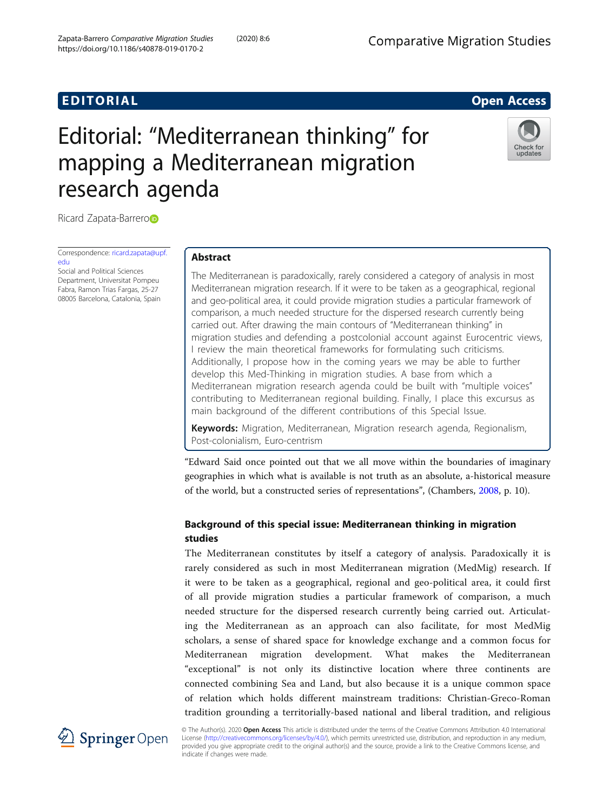## **EDITORIAL** CONTROL CONTROL CONTROL CONTROL CONTROL CONTROL CONTROL CONTROL CONTROL CONTROL CONTROL CONTROL CONTROL CONTROL CONTROL CONTROL CONTROL CONTROL CONTROL CONTROL CONTROL CONTROL CONTROL CONTROL CONTROL CONTROL CO

# Editorial: "Mediterranean thinking" for mapping a Mediterranean migration research agenda



Ricard Zapata-Barrer[o](http://orcid.org/0000-0002-3478-1330)

Correspondence: [ricard.zapata@upf.](mailto:ricard.zapata@upf.edu) [edu](mailto:ricard.zapata@upf.edu) Social and Political Sciences

Department, Universitat Pompeu Fabra, Ramon Trias Fargas, 25-27 08005 Barcelona, Catalonia, Spain

## Abstract

The Mediterranean is paradoxically, rarely considered a category of analysis in most Mediterranean migration research. If it were to be taken as a geographical, regional and geo-political area, it could provide migration studies a particular framework of comparison, a much needed structure for the dispersed research currently being carried out. After drawing the main contours of "Mediterranean thinking" in migration studies and defending a postcolonial account against Eurocentric views, I review the main theoretical frameworks for formulating such criticisms. Additionally, I propose how in the coming years we may be able to further develop this Med-Thinking in migration studies. A base from which a Mediterranean migration research agenda could be built with "multiple voices" contributing to Mediterranean regional building. Finally, I place this excursus as main background of the different contributions of this Special Issue.

Keywords: Migration, Mediterranean, Migration research agenda, Regionalism, Post-colonialism, Euro-centrism

"Edward Said once pointed out that we all move within the boundaries of imaginary geographies in which what is available is not truth as an absolute, a-historical measure of the world, but a constructed series of representations", (Chambers, [2008,](#page-16-0) p. 10).

## Background of this special issue: Mediterranean thinking in migration studies

The Mediterranean constitutes by itself a category of analysis. Paradoxically it is rarely considered as such in most Mediterranean migration (MedMig) research. If it were to be taken as a geographical, regional and geo-political area, it could first of all provide migration studies a particular framework of comparison, a much needed structure for the dispersed research currently being carried out. Articulating the Mediterranean as an approach can also facilitate, for most MedMig scholars, a sense of shared space for knowledge exchange and a common focus for Mediterranean migration development. What makes the Mediterranean "exceptional" is not only its distinctive location where three continents are connected combining Sea and Land, but also because it is a unique common space of relation which holds different mainstream traditions: Christian-Greco-Roman tradition grounding a territorially-based national and liberal tradition, and religious



© The Author(s). 2020 Open Access This article is distributed under the terms of the Creative Commons Attribution 4.0 International License [\(http://creativecommons.org/licenses/by/4.0/](http://creativecommons.org/licenses/by/4.0/)), which permits unrestricted use, distribution, and reproduction in any medium, provided you give appropriate credit to the original author(s) and the source, provide a link to the Creative Commons license, and indicate if changes were made.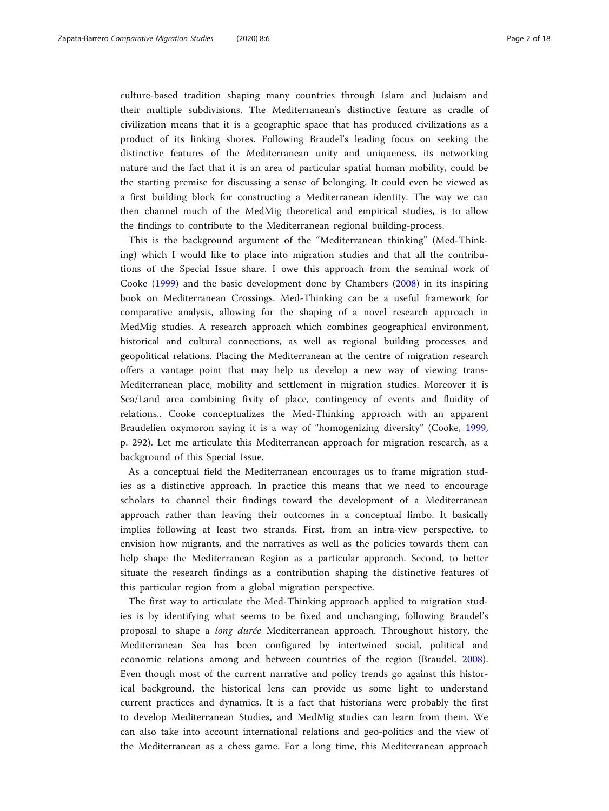culture-based tradition shaping many countries through Islam and Judaism and their multiple subdivisions. The Mediterranean's distinctive feature as cradle of civilization means that it is a geographic space that has produced civilizations as a product of its linking shores. Following Braudel's leading focus on seeking the distinctive features of the Mediterranean unity and uniqueness, its networking nature and the fact that it is an area of particular spatial human mobility, could be the starting premise for discussing a sense of belonging. It could even be viewed as a first building block for constructing a Mediterranean identity. The way we can then channel much of the MedMig theoretical and empirical studies, is to allow the findings to contribute to the Mediterranean regional building-process.

This is the background argument of the "Mediterranean thinking" (Med-Thinking) which I would like to place into migration studies and that all the contributions of the Special Issue share. I owe this approach from the seminal work of Cooke ([1999\)](#page-16-0) and the basic development done by Chambers [\(2008](#page-16-0)) in its inspiring book on Mediterranean Crossings. Med-Thinking can be a useful framework for comparative analysis, allowing for the shaping of a novel research approach in MedMig studies. A research approach which combines geographical environment, historical and cultural connections, as well as regional building processes and geopolitical relations. Placing the Mediterranean at the centre of migration research offers a vantage point that may help us develop a new way of viewing trans-Mediterranean place, mobility and settlement in migration studies. Moreover it is Sea/Land area combining fixity of place, contingency of events and fluidity of relations.. Cooke conceptualizes the Med-Thinking approach with an apparent Braudelien oxymoron saying it is a way of "homogenizing diversity" (Cooke, [1999](#page-16-0), p. 292). Let me articulate this Mediterranean approach for migration research, as a background of this Special Issue.

As a conceptual field the Mediterranean encourages us to frame migration studies as a distinctive approach. In practice this means that we need to encourage scholars to channel their findings toward the development of a Mediterranean approach rather than leaving their outcomes in a conceptual limbo. It basically implies following at least two strands. First, from an intra-view perspective, to envision how migrants, and the narratives as well as the policies towards them can help shape the Mediterranean Region as a particular approach. Second, to better situate the research findings as a contribution shaping the distinctive features of this particular region from a global migration perspective.

The first way to articulate the Med-Thinking approach applied to migration studies is by identifying what seems to be fixed and unchanging, following Braudel's proposal to shape a long durée Mediterranean approach. Throughout history, the Mediterranean Sea has been configured by intertwined social, political and economic relations among and between countries of the region (Braudel, [2008](#page-16-0)). Even though most of the current narrative and policy trends go against this historical background, the historical lens can provide us some light to understand current practices and dynamics. It is a fact that historians were probably the first to develop Mediterranean Studies, and MedMig studies can learn from them. We can also take into account international relations and geo-politics and the view of the Mediterranean as a chess game. For a long time, this Mediterranean approach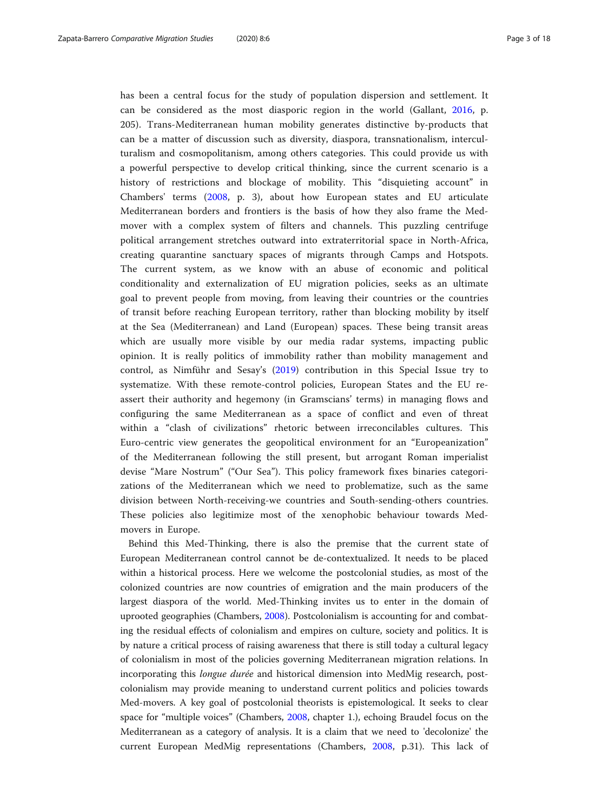has been a central focus for the study of population dispersion and settlement. It can be considered as the most diasporic region in the world (Gallant, [2016](#page-16-0), p. 205). Trans-Mediterranean human mobility generates distinctive by-products that can be a matter of discussion such as diversity, diaspora, transnationalism, interculturalism and cosmopolitanism, among others categories. This could provide us with a powerful perspective to develop critical thinking, since the current scenario is a history of restrictions and blockage of mobility. This "disquieting account" in Chambers' terms ([2008,](#page-16-0) p. 3), about how European states and EU articulate Mediterranean borders and frontiers is the basis of how they also frame the Medmover with a complex system of filters and channels. This puzzling centrifuge political arrangement stretches outward into extraterritorial space in North-Africa, creating quarantine sanctuary spaces of migrants through Camps and Hotspots. The current system, as we know with an abuse of economic and political conditionality and externalization of EU migration policies, seeks as an ultimate goal to prevent people from moving, from leaving their countries or the countries of transit before reaching European territory, rather than blocking mobility by itself at the Sea (Mediterranean) and Land (European) spaces. These being transit areas which are usually more visible by our media radar systems, impacting public opinion. It is really politics of immobility rather than mobility management and control, as Nimführ and Sesay's [\(2019](#page-17-0)) contribution in this Special Issue try to systematize. With these remote-control policies, European States and the EU reassert their authority and hegemony (in Gramscians' terms) in managing flows and configuring the same Mediterranean as a space of conflict and even of threat within a "clash of civilizations" rhetoric between irreconcilables cultures. This Euro-centric view generates the geopolitical environment for an "Europeanization" of the Mediterranean following the still present, but arrogant Roman imperialist devise "Mare Nostrum" ("Our Sea"). This policy framework fixes binaries categorizations of the Mediterranean which we need to problematize, such as the same division between North-receiving-we countries and South-sending-others countries. These policies also legitimize most of the xenophobic behaviour towards Medmovers in Europe.

Behind this Med-Thinking, there is also the premise that the current state of European Mediterranean control cannot be de-contextualized. It needs to be placed within a historical process. Here we welcome the postcolonial studies, as most of the colonized countries are now countries of emigration and the main producers of the largest diaspora of the world. Med-Thinking invites us to enter in the domain of uprooted geographies (Chambers, [2008](#page-16-0)). Postcolonialism is accounting for and combating the residual effects of colonialism and empires on culture, society and politics. It is by nature a critical process of raising awareness that there is still today a cultural legacy of colonialism in most of the policies governing Mediterranean migration relations. In incorporating this *longue durée* and historical dimension into MedMig research, postcolonialism may provide meaning to understand current politics and policies towards Med-movers. A key goal of postcolonial theorists is epistemological. It seeks to clear space for "multiple voices" (Chambers, [2008,](#page-16-0) chapter 1.), echoing Braudel focus on the Mediterranean as a category of analysis. It is a claim that we need to 'decolonize' the current European MedMig representations (Chambers, [2008](#page-16-0), p.31). This lack of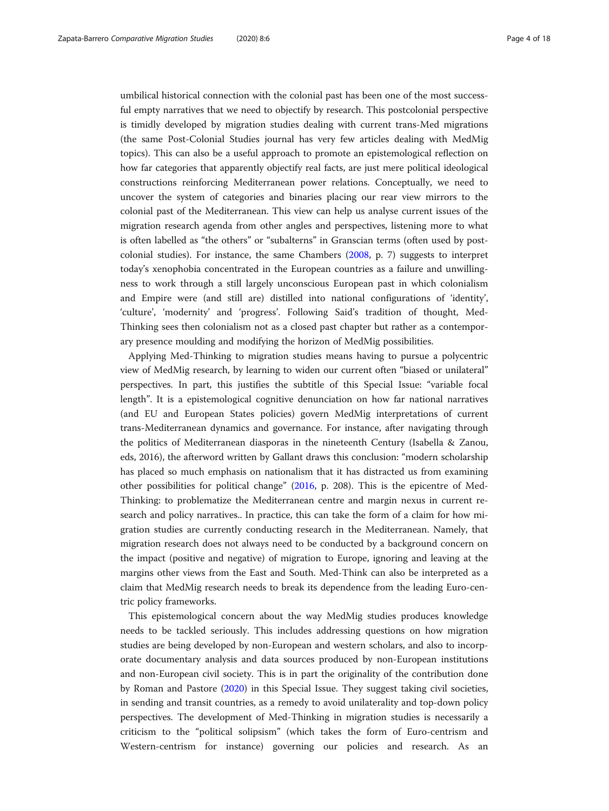umbilical historical connection with the colonial past has been one of the most successful empty narratives that we need to objectify by research. This postcolonial perspective is timidly developed by migration studies dealing with current trans-Med migrations (the same Post-Colonial Studies journal has very few articles dealing with MedMig topics). This can also be a useful approach to promote an epistemological reflection on how far categories that apparently objectify real facts, are just mere political ideological constructions reinforcing Mediterranean power relations. Conceptually, we need to uncover the system of categories and binaries placing our rear view mirrors to the colonial past of the Mediterranean. This view can help us analyse current issues of the migration research agenda from other angles and perspectives, listening more to what is often labelled as "the others" or "subalterns" in Granscian terms (often used by postcolonial studies). For instance, the same Chambers [\(2008,](#page-16-0) p. 7) suggests to interpret today's xenophobia concentrated in the European countries as a failure and unwillingness to work through a still largely unconscious European past in which colonialism and Empire were (and still are) distilled into national configurations of 'identity', 'culture', 'modernity' and 'progress'. Following Said's tradition of thought, Med-Thinking sees then colonialism not as a closed past chapter but rather as a contemporary presence moulding and modifying the horizon of MedMig possibilities.

Applying Med-Thinking to migration studies means having to pursue a polycentric view of MedMig research, by learning to widen our current often "biased or unilateral" perspectives. In part, this justifies the subtitle of this Special Issue: "variable focal length". It is a epistemological cognitive denunciation on how far national narratives (and EU and European States policies) govern MedMig interpretations of current trans-Mediterranean dynamics and governance. For instance, after navigating through the politics of Mediterranean diasporas in the nineteenth Century (Isabella & Zanou, eds, 2016), the afterword written by Gallant draws this conclusion: "modern scholarship has placed so much emphasis on nationalism that it has distracted us from examining other possibilities for political change" ([2016,](#page-16-0) p. 208). This is the epicentre of Med-Thinking: to problematize the Mediterranean centre and margin nexus in current research and policy narratives.. In practice, this can take the form of a claim for how migration studies are currently conducting research in the Mediterranean. Namely, that migration research does not always need to be conducted by a background concern on the impact (positive and negative) of migration to Europe, ignoring and leaving at the margins other views from the East and South. Med-Think can also be interpreted as a claim that MedMig research needs to break its dependence from the leading Euro-centric policy frameworks.

This epistemological concern about the way MedMig studies produces knowledge needs to be tackled seriously. This includes addressing questions on how migration studies are being developed by non-European and western scholars, and also to incorporate documentary analysis and data sources produced by non-European institutions and non-European civil society. This is in part the originality of the contribution done by Roman and Pastore [\(2020\)](#page-17-0) in this Special Issue. They suggest taking civil societies, in sending and transit countries, as a remedy to avoid unilaterality and top-down policy perspectives. The development of Med-Thinking in migration studies is necessarily a criticism to the "political solipsism" (which takes the form of Euro-centrism and Western-centrism for instance) governing our policies and research. As an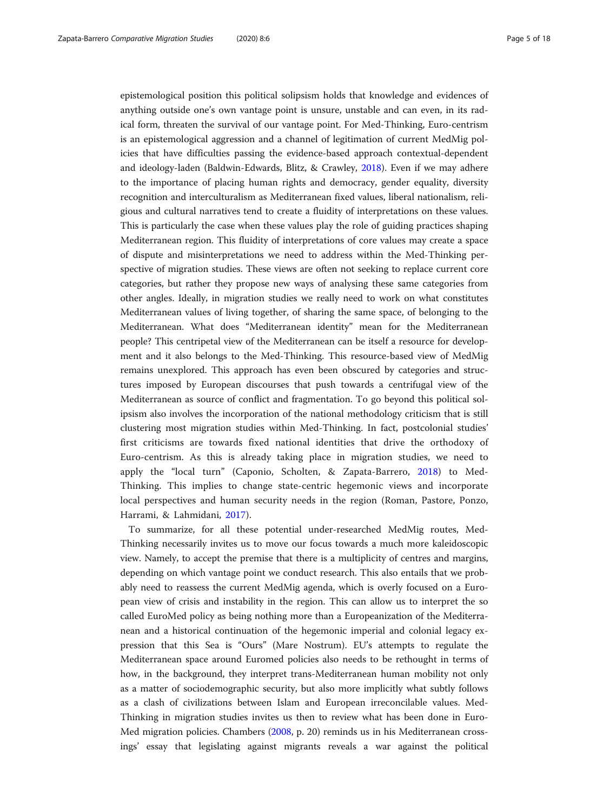epistemological position this political solipsism holds that knowledge and evidences of anything outside one's own vantage point is unsure, unstable and can even, in its radical form, threaten the survival of our vantage point. For Med-Thinking, Euro-centrism is an epistemological aggression and a channel of legitimation of current MedMig policies that have difficulties passing the evidence-based approach contextual-dependent and ideology-laden (Baldwin-Edwards, Blitz, & Crawley, [2018](#page-16-0)). Even if we may adhere to the importance of placing human rights and democracy, gender equality, diversity recognition and interculturalism as Mediterranean fixed values, liberal nationalism, religious and cultural narratives tend to create a fluidity of interpretations on these values. This is particularly the case when these values play the role of guiding practices shaping Mediterranean region. This fluidity of interpretations of core values may create a space of dispute and misinterpretations we need to address within the Med-Thinking perspective of migration studies. These views are often not seeking to replace current core categories, but rather they propose new ways of analysing these same categories from other angles. Ideally, in migration studies we really need to work on what constitutes Mediterranean values of living together, of sharing the same space, of belonging to the Mediterranean. What does "Mediterranean identity" mean for the Mediterranean people? This centripetal view of the Mediterranean can be itself a resource for development and it also belongs to the Med-Thinking. This resource-based view of MedMig remains unexplored. This approach has even been obscured by categories and structures imposed by European discourses that push towards a centrifugal view of the Mediterranean as source of conflict and fragmentation. To go beyond this political solipsism also involves the incorporation of the national methodology criticism that is still clustering most migration studies within Med-Thinking. In fact, postcolonial studies' first criticisms are towards fixed national identities that drive the orthodoxy of Euro-centrism. As this is already taking place in migration studies, we need to apply the "local turn" (Caponio, Scholten, & Zapata-Barrero, [2018\)](#page-16-0) to Med-Thinking. This implies to change state-centric hegemonic views and incorporate local perspectives and human security needs in the region (Roman, Pastore, Ponzo, Harrami, & Lahmidani, [2017\)](#page-17-0).

To summarize, for all these potential under-researched MedMig routes, Med-Thinking necessarily invites us to move our focus towards a much more kaleidoscopic view. Namely, to accept the premise that there is a multiplicity of centres and margins, depending on which vantage point we conduct research. This also entails that we probably need to reassess the current MedMig agenda, which is overly focused on a European view of crisis and instability in the region. This can allow us to interpret the so called EuroMed policy as being nothing more than a Europeanization of the Mediterranean and a historical continuation of the hegemonic imperial and colonial legacy expression that this Sea is "Ours" (Mare Nostrum). EU's attempts to regulate the Mediterranean space around Euromed policies also needs to be rethought in terms of how, in the background, they interpret trans-Mediterranean human mobility not only as a matter of sociodemographic security, but also more implicitly what subtly follows as a clash of civilizations between Islam and European irreconcilable values. Med-Thinking in migration studies invites us then to review what has been done in Euro-Med migration policies. Chambers [\(2008,](#page-16-0) p. 20) reminds us in his Mediterranean crossings' essay that legislating against migrants reveals a war against the political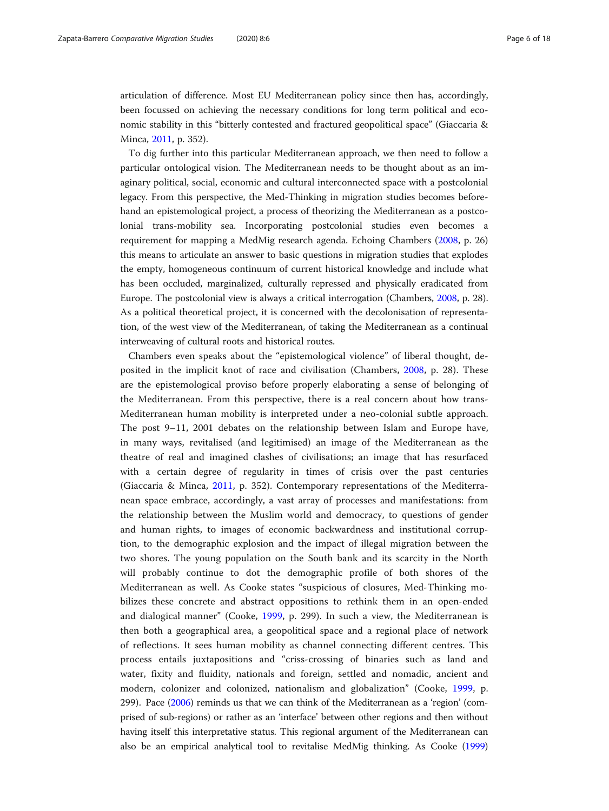articulation of difference. Most EU Mediterranean policy since then has, accordingly, been focussed on achieving the necessary conditions for long term political and economic stability in this "bitterly contested and fractured geopolitical space" (Giaccaria & Minca, [2011](#page-17-0), p. 352).

To dig further into this particular Mediterranean approach, we then need to follow a particular ontological vision. The Mediterranean needs to be thought about as an imaginary political, social, economic and cultural interconnected space with a postcolonial legacy. From this perspective, the Med-Thinking in migration studies becomes beforehand an epistemological project, a process of theorizing the Mediterranean as a postcolonial trans-mobility sea. Incorporating postcolonial studies even becomes a requirement for mapping a MedMig research agenda. Echoing Chambers ([2008](#page-16-0), p. 26) this means to articulate an answer to basic questions in migration studies that explodes the empty, homogeneous continuum of current historical knowledge and include what has been occluded, marginalized, culturally repressed and physically eradicated from Europe. The postcolonial view is always a critical interrogation (Chambers, [2008](#page-16-0), p. 28). As a political theoretical project, it is concerned with the decolonisation of representation, of the west view of the Mediterranean, of taking the Mediterranean as a continual interweaving of cultural roots and historical routes.

Chambers even speaks about the "epistemological violence" of liberal thought, deposited in the implicit knot of race and civilisation (Chambers, [2008,](#page-16-0) p. 28). These are the epistemological proviso before properly elaborating a sense of belonging of the Mediterranean. From this perspective, there is a real concern about how trans-Mediterranean human mobility is interpreted under a neo-colonial subtle approach. The post 9–11, 2001 debates on the relationship between Islam and Europe have, in many ways, revitalised (and legitimised) an image of the Mediterranean as the theatre of real and imagined clashes of civilisations; an image that has resurfaced with a certain degree of regularity in times of crisis over the past centuries (Giaccaria & Minca, [2011,](#page-17-0) p. 352). Contemporary representations of the Mediterranean space embrace, accordingly, a vast array of processes and manifestations: from the relationship between the Muslim world and democracy, to questions of gender and human rights, to images of economic backwardness and institutional corruption, to the demographic explosion and the impact of illegal migration between the two shores. The young population on the South bank and its scarcity in the North will probably continue to dot the demographic profile of both shores of the Mediterranean as well. As Cooke states "suspicious of closures, Med-Thinking mobilizes these concrete and abstract oppositions to rethink them in an open-ended and dialogical manner" (Cooke, [1999](#page-16-0), p. 299). In such a view, the Mediterranean is then both a geographical area, a geopolitical space and a regional place of network of reflections. It sees human mobility as channel connecting different centres. This process entails juxtapositions and "criss-crossing of binaries such as land and water, fixity and fluidity, nationals and foreign, settled and nomadic, ancient and modern, colonizer and colonized, nationalism and globalization" (Cooke, [1999,](#page-16-0) p. 299). Pace [\(2006](#page-17-0)) reminds us that we can think of the Mediterranean as a 'region' (comprised of sub-regions) or rather as an 'interface' between other regions and then without having itself this interpretative status. This regional argument of the Mediterranean can also be an empirical analytical tool to revitalise MedMig thinking. As Cooke [\(1999](#page-16-0))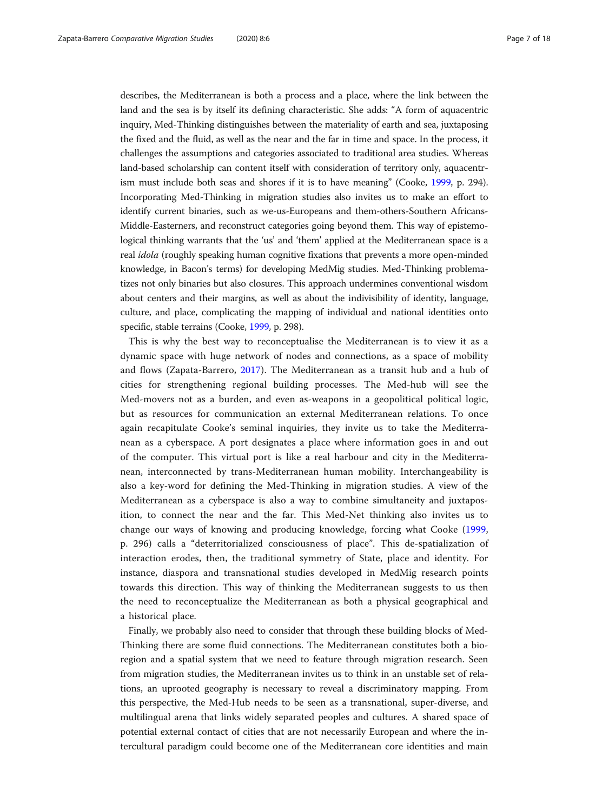describes, the Mediterranean is both a process and a place, where the link between the land and the sea is by itself its defining characteristic. She adds: "A form of aquacentric inquiry, Med-Thinking distinguishes between the materiality of earth and sea, juxtaposing the fixed and the fluid, as well as the near and the far in time and space. In the process, it challenges the assumptions and categories associated to traditional area studies. Whereas land-based scholarship can content itself with consideration of territory only, aquacentrism must include both seas and shores if it is to have meaning" (Cooke, [1999](#page-16-0), p. 294). Incorporating Med-Thinking in migration studies also invites us to make an effort to identify current binaries, such as we-us-Europeans and them-others-Southern Africans-Middle-Easterners, and reconstruct categories going beyond them. This way of epistemological thinking warrants that the 'us' and 'them' applied at the Mediterranean space is a real idola (roughly speaking human cognitive fixations that prevents a more open-minded knowledge, in Bacon's terms) for developing MedMig studies. Med-Thinking problematizes not only binaries but also closures. This approach undermines conventional wisdom about centers and their margins, as well as about the indivisibility of identity, language, culture, and place, complicating the mapping of individual and national identities onto specific, stable terrains (Cooke, [1999](#page-16-0), p. 298).

This is why the best way to reconceptualise the Mediterranean is to view it as a dynamic space with huge network of nodes and connections, as a space of mobility and flows (Zapata-Barrero, [2017](#page-17-0)). The Mediterranean as a transit hub and a hub of cities for strengthening regional building processes. The Med-hub will see the Med-movers not as a burden, and even as-weapons in a geopolitical political logic, but as resources for communication an external Mediterranean relations. To once again recapitulate Cooke's seminal inquiries, they invite us to take the Mediterranean as a cyberspace. A port designates a place where information goes in and out of the computer. This virtual port is like a real harbour and city in the Mediterranean, interconnected by trans-Mediterranean human mobility. Interchangeability is also a key-word for defining the Med-Thinking in migration studies. A view of the Mediterranean as a cyberspace is also a way to combine simultaneity and juxtaposition, to connect the near and the far. This Med-Net thinking also invites us to change our ways of knowing and producing knowledge, forcing what Cooke [\(1999](#page-16-0), p. 296) calls a "deterritorialized consciousness of place". This de-spatialization of interaction erodes, then, the traditional symmetry of State, place and identity. For instance, diaspora and transnational studies developed in MedMig research points towards this direction. This way of thinking the Mediterranean suggests to us then the need to reconceptualize the Mediterranean as both a physical geographical and a historical place.

Finally, we probably also need to consider that through these building blocks of Med-Thinking there are some fluid connections. The Mediterranean constitutes both a bioregion and a spatial system that we need to feature through migration research. Seen from migration studies, the Mediterranean invites us to think in an unstable set of relations, an uprooted geography is necessary to reveal a discriminatory mapping. From this perspective, the Med-Hub needs to be seen as a transnational, super-diverse, and multilingual arena that links widely separated peoples and cultures. A shared space of potential external contact of cities that are not necessarily European and where the intercultural paradigm could become one of the Mediterranean core identities and main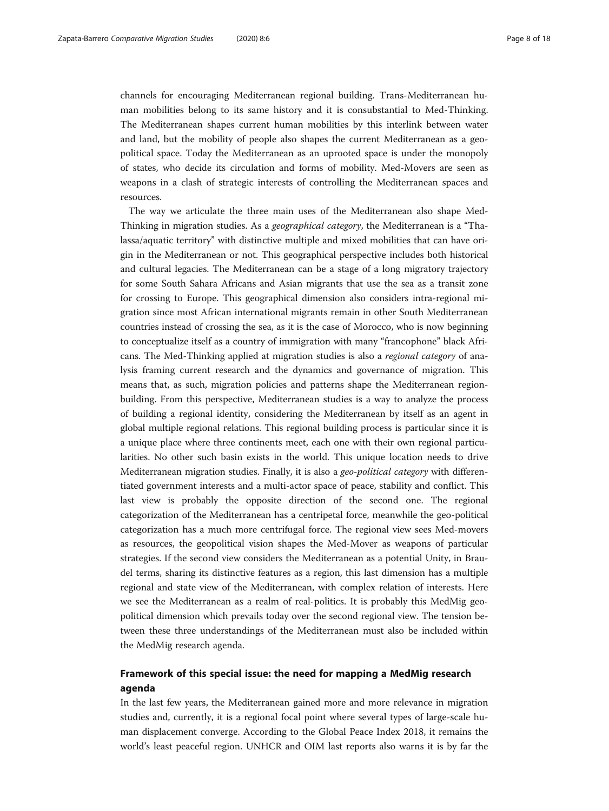channels for encouraging Mediterranean regional building. Trans-Mediterranean human mobilities belong to its same history and it is consubstantial to Med-Thinking. The Mediterranean shapes current human mobilities by this interlink between water and land, but the mobility of people also shapes the current Mediterranean as a geopolitical space. Today the Mediterranean as an uprooted space is under the monopoly of states, who decide its circulation and forms of mobility. Med-Movers are seen as weapons in a clash of strategic interests of controlling the Mediterranean spaces and resources.

The way we articulate the three main uses of the Mediterranean also shape Med-Thinking in migration studies. As a geographical category, the Mediterranean is a "Thalassa/aquatic territory" with distinctive multiple and mixed mobilities that can have origin in the Mediterranean or not. This geographical perspective includes both historical and cultural legacies. The Mediterranean can be a stage of a long migratory trajectory for some South Sahara Africans and Asian migrants that use the sea as a transit zone for crossing to Europe. This geographical dimension also considers intra-regional migration since most African international migrants remain in other South Mediterranean countries instead of crossing the sea, as it is the case of Morocco, who is now beginning to conceptualize itself as a country of immigration with many "francophone" black Africans. The Med-Thinking applied at migration studies is also a regional category of analysis framing current research and the dynamics and governance of migration. This means that, as such, migration policies and patterns shape the Mediterranean regionbuilding. From this perspective, Mediterranean studies is a way to analyze the process of building a regional identity, considering the Mediterranean by itself as an agent in global multiple regional relations. This regional building process is particular since it is a unique place where three continents meet, each one with their own regional particularities. No other such basin exists in the world. This unique location needs to drive Mediterranean migration studies. Finally, it is also a geo-political category with differentiated government interests and a multi-actor space of peace, stability and conflict. This last view is probably the opposite direction of the second one. The regional categorization of the Mediterranean has a centripetal force, meanwhile the geo-political categorization has a much more centrifugal force. The regional view sees Med-movers as resources, the geopolitical vision shapes the Med-Mover as weapons of particular strategies. If the second view considers the Mediterranean as a potential Unity, in Braudel terms, sharing its distinctive features as a region, this last dimension has a multiple regional and state view of the Mediterranean, with complex relation of interests. Here we see the Mediterranean as a realm of real-politics. It is probably this MedMig geopolitical dimension which prevails today over the second regional view. The tension between these three understandings of the Mediterranean must also be included within the MedMig research agenda.

## Framework of this special issue: the need for mapping a MedMig research agenda

In the last few years, the Mediterranean gained more and more relevance in migration studies and, currently, it is a regional focal point where several types of large-scale human displacement converge. According to the Global Peace Index 2018, it remains the world's least peaceful region. UNHCR and OIM last reports also warns it is by far the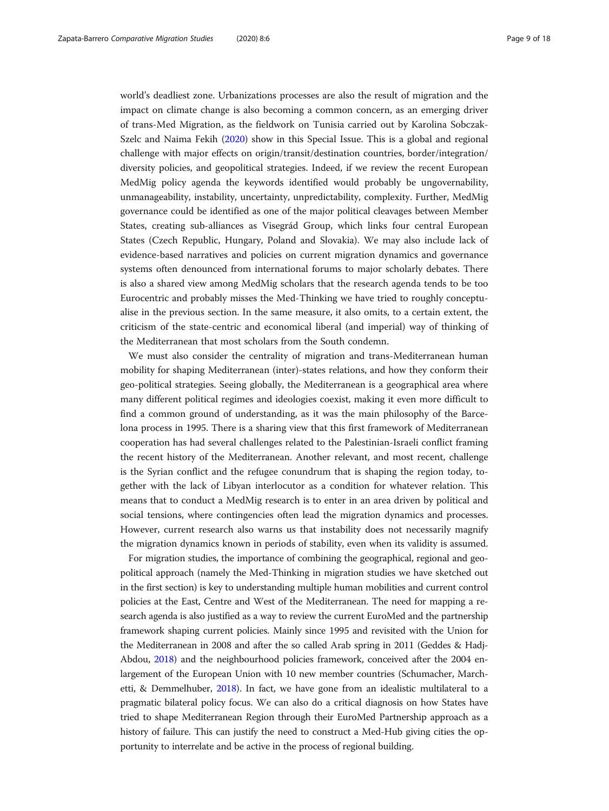world's deadliest zone. Urbanizations processes are also the result of migration and the impact on climate change is also becoming a common concern, as an emerging driver of trans-Med Migration, as the fieldwork on Tunisia carried out by Karolina Sobczak-Szelc and Naima Fekih ([2020](#page-17-0)) show in this Special Issue. This is a global and regional challenge with major effects on origin/transit/destination countries, border/integration/ diversity policies, and geopolitical strategies. Indeed, if we review the recent European MedMig policy agenda the keywords identified would probably be ungovernability, unmanageability, instability, uncertainty, unpredictability, complexity. Further, MedMig governance could be identified as one of the major political cleavages between Member States, creating sub-alliances as Visegrád Group, which links four central European States (Czech Republic, Hungary, Poland and Slovakia). We may also include lack of evidence-based narratives and policies on current migration dynamics and governance systems often denounced from international forums to major scholarly debates. There is also a shared view among MedMig scholars that the research agenda tends to be too Eurocentric and probably misses the Med-Thinking we have tried to roughly conceptualise in the previous section. In the same measure, it also omits, to a certain extent, the criticism of the state-centric and economical liberal (and imperial) way of thinking of the Mediterranean that most scholars from the South condemn.

We must also consider the centrality of migration and trans-Mediterranean human mobility for shaping Mediterranean (inter)-states relations, and how they conform their geo-political strategies. Seeing globally, the Mediterranean is a geographical area where many different political regimes and ideologies coexist, making it even more difficult to find a common ground of understanding, as it was the main philosophy of the Barcelona process in 1995. There is a sharing view that this first framework of Mediterranean cooperation has had several challenges related to the Palestinian-Israeli conflict framing the recent history of the Mediterranean. Another relevant, and most recent, challenge is the Syrian conflict and the refugee conundrum that is shaping the region today, together with the lack of Libyan interlocutor as a condition for whatever relation. This means that to conduct a MedMig research is to enter in an area driven by political and social tensions, where contingencies often lead the migration dynamics and processes. However, current research also warns us that instability does not necessarily magnify the migration dynamics known in periods of stability, even when its validity is assumed.

For migration studies, the importance of combining the geographical, regional and geopolitical approach (namely the Med-Thinking in migration studies we have sketched out in the first section) is key to understanding multiple human mobilities and current control policies at the East, Centre and West of the Mediterranean. The need for mapping a research agenda is also justified as a way to review the current EuroMed and the partnership framework shaping current policies. Mainly since 1995 and revisited with the Union for the Mediterranean in 2008 and after the so called Arab spring in 2011 (Geddes & Hadj-Abdou, [2018](#page-17-0)) and the neighbourhood policies framework, conceived after the 2004 enlargement of the European Union with 10 new member countries (Schumacher, Marchetti, & Demmelhuber, [2018](#page-17-0)). In fact, we have gone from an idealistic multilateral to a pragmatic bilateral policy focus. We can also do a critical diagnosis on how States have tried to shape Mediterranean Region through their EuroMed Partnership approach as a history of failure. This can justify the need to construct a Med-Hub giving cities the opportunity to interrelate and be active in the process of regional building.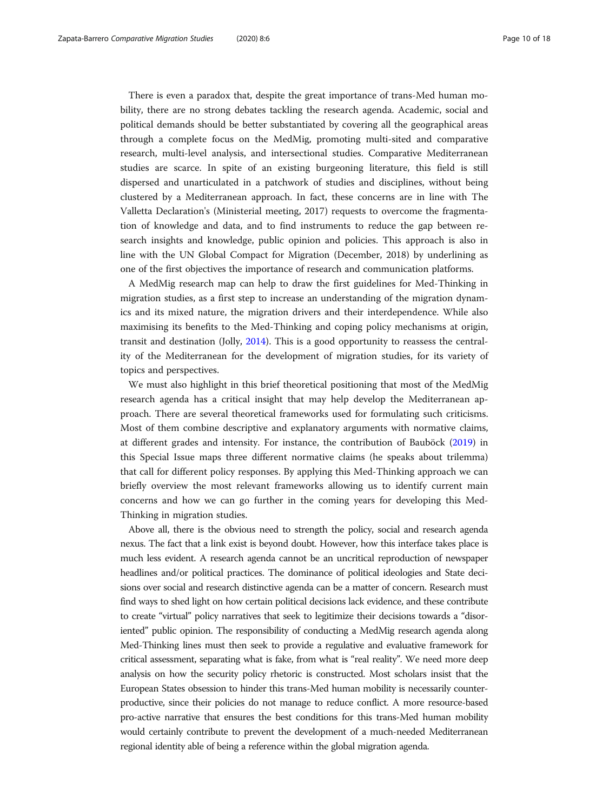There is even a paradox that, despite the great importance of trans-Med human mobility, there are no strong debates tackling the research agenda. Academic, social and political demands should be better substantiated by covering all the geographical areas through a complete focus on the MedMig, promoting multi-sited and comparative research, multi-level analysis, and intersectional studies. Comparative Mediterranean studies are scarce. In spite of an existing burgeoning literature, this field is still dispersed and unarticulated in a patchwork of studies and disciplines, without being clustered by a Mediterranean approach. In fact, these concerns are in line with The Valletta Declaration's (Ministerial meeting, 2017) requests to overcome the fragmentation of knowledge and data, and to find instruments to reduce the gap between research insights and knowledge, public opinion and policies. This approach is also in line with the UN Global Compact for Migration (December, 2018) by underlining as one of the first objectives the importance of research and communication platforms.

A MedMig research map can help to draw the first guidelines for Med-Thinking in migration studies, as a first step to increase an understanding of the migration dynamics and its mixed nature, the migration drivers and their interdependence. While also maximising its benefits to the Med-Thinking and coping policy mechanisms at origin, transit and destination (Jolly, [2014](#page-17-0)). This is a good opportunity to reassess the centrality of the Mediterranean for the development of migration studies, for its variety of topics and perspectives.

We must also highlight in this brief theoretical positioning that most of the MedMig research agenda has a critical insight that may help develop the Mediterranean approach. There are several theoretical frameworks used for formulating such criticisms. Most of them combine descriptive and explanatory arguments with normative claims, at different grades and intensity. For instance, the contribution of Bauböck ([2019](#page-16-0)) in this Special Issue maps three different normative claims (he speaks about trilemma) that call for different policy responses. By applying this Med-Thinking approach we can briefly overview the most relevant frameworks allowing us to identify current main concerns and how we can go further in the coming years for developing this Med-Thinking in migration studies.

Above all, there is the obvious need to strength the policy, social and research agenda nexus. The fact that a link exist is beyond doubt. However, how this interface takes place is much less evident. A research agenda cannot be an uncritical reproduction of newspaper headlines and/or political practices. The dominance of political ideologies and State decisions over social and research distinctive agenda can be a matter of concern. Research must find ways to shed light on how certain political decisions lack evidence, and these contribute to create "virtual" policy narratives that seek to legitimize their decisions towards a "disoriented" public opinion. The responsibility of conducting a MedMig research agenda along Med-Thinking lines must then seek to provide a regulative and evaluative framework for critical assessment, separating what is fake, from what is "real reality". We need more deep analysis on how the security policy rhetoric is constructed. Most scholars insist that the European States obsession to hinder this trans-Med human mobility is necessarily counterproductive, since their policies do not manage to reduce conflict. A more resource-based pro-active narrative that ensures the best conditions for this trans-Med human mobility would certainly contribute to prevent the development of a much-needed Mediterranean regional identity able of being a reference within the global migration agenda.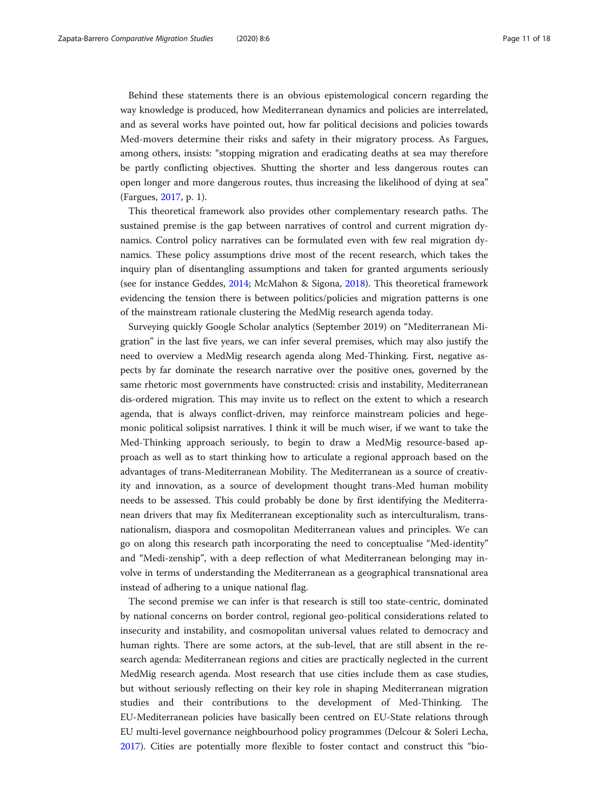Behind these statements there is an obvious epistemological concern regarding the way knowledge is produced, how Mediterranean dynamics and policies are interrelated, and as several works have pointed out, how far political decisions and policies towards Med-movers determine their risks and safety in their migratory process. As Fargues, among others, insists: "stopping migration and eradicating deaths at sea may therefore be partly conflicting objectives. Shutting the shorter and less dangerous routes can open longer and more dangerous routes, thus increasing the likelihood of dying at sea" (Fargues, [2017,](#page-16-0) p. 1).

This theoretical framework also provides other complementary research paths. The sustained premise is the gap between narratives of control and current migration dynamics. Control policy narratives can be formulated even with few real migration dynamics. These policy assumptions drive most of the recent research, which takes the inquiry plan of disentangling assumptions and taken for granted arguments seriously (see for instance Geddes, [2014](#page-17-0); McMahon & Sigona, [2018](#page-17-0)). This theoretical framework evidencing the tension there is between politics/policies and migration patterns is one of the mainstream rationale clustering the MedMig research agenda today.

Surveying quickly Google Scholar analytics (September 2019) on "Mediterranean Migration" in the last five years, we can infer several premises, which may also justify the need to overview a MedMig research agenda along Med-Thinking. First, negative aspects by far dominate the research narrative over the positive ones, governed by the same rhetoric most governments have constructed: crisis and instability, Mediterranean dis-ordered migration. This may invite us to reflect on the extent to which a research agenda, that is always conflict-driven, may reinforce mainstream policies and hegemonic political solipsist narratives. I think it will be much wiser, if we want to take the Med-Thinking approach seriously, to begin to draw a MedMig resource-based approach as well as to start thinking how to articulate a regional approach based on the advantages of trans-Mediterranean Mobility. The Mediterranean as a source of creativity and innovation, as a source of development thought trans-Med human mobility needs to be assessed. This could probably be done by first identifying the Mediterranean drivers that may fix Mediterranean exceptionality such as interculturalism, transnationalism, diaspora and cosmopolitan Mediterranean values and principles. We can go on along this research path incorporating the need to conceptualise "Med-identity" and "Medi-zenship", with a deep reflection of what Mediterranean belonging may involve in terms of understanding the Mediterranean as a geographical transnational area instead of adhering to a unique national flag.

The second premise we can infer is that research is still too state-centric, dominated by national concerns on border control, regional geo-political considerations related to insecurity and instability, and cosmopolitan universal values related to democracy and human rights. There are some actors, at the sub-level, that are still absent in the research agenda: Mediterranean regions and cities are practically neglected in the current MedMig research agenda. Most research that use cities include them as case studies, but without seriously reflecting on their key role in shaping Mediterranean migration studies and their contributions to the development of Med-Thinking. The EU-Mediterranean policies have basically been centred on EU-State relations through EU multi-level governance neighbourhood policy programmes (Delcour & Soleri Lecha, [2017](#page-16-0)). Cities are potentially more flexible to foster contact and construct this "bio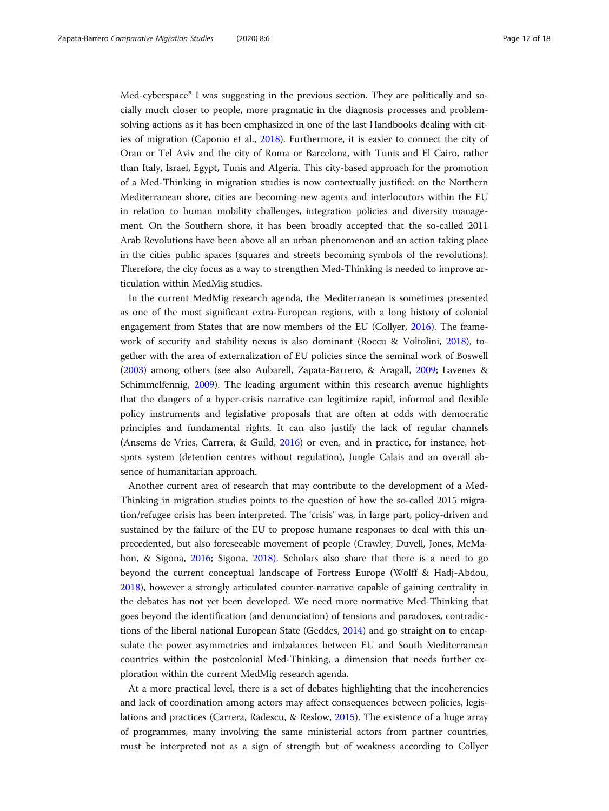Med-cyberspace" I was suggesting in the previous section. They are politically and socially much closer to people, more pragmatic in the diagnosis processes and problemsolving actions as it has been emphasized in one of the last Handbooks dealing with cities of migration (Caponio et al., [2018](#page-16-0)). Furthermore, it is easier to connect the city of Oran or Tel Aviv and the city of Roma or Barcelona, with Tunis and El Cairo, rather than Italy, Israel, Egypt, Tunis and Algeria. This city-based approach for the promotion of a Med-Thinking in migration studies is now contextually justified: on the Northern Mediterranean shore, cities are becoming new agents and interlocutors within the EU in relation to human mobility challenges, integration policies and diversity management. On the Southern shore, it has been broadly accepted that the so-called 2011 Arab Revolutions have been above all an urban phenomenon and an action taking place in the cities public spaces (squares and streets becoming symbols of the revolutions). Therefore, the city focus as a way to strengthen Med-Thinking is needed to improve articulation within MedMig studies.

In the current MedMig research agenda, the Mediterranean is sometimes presented as one of the most significant extra-European regions, with a long history of colonial engagement from States that are now members of the EU (Collyer, [2016\)](#page-16-0). The framework of security and stability nexus is also dominant (Roccu & Voltolini, [2018](#page-17-0)), together with the area of externalization of EU policies since the seminal work of Boswell ([2003](#page-16-0)) among others (see also Aubarell, Zapata-Barrero, & Aragall, [2009](#page-16-0); Lavenex & Schimmelfennig, [2009\)](#page-17-0). The leading argument within this research avenue highlights that the dangers of a hyper-crisis narrative can legitimize rapid, informal and flexible policy instruments and legislative proposals that are often at odds with democratic principles and fundamental rights. It can also justify the lack of regular channels (Ansems de Vries, Carrera, & Guild, [2016](#page-16-0)) or even, and in practice, for instance, hotspots system (detention centres without regulation), Jungle Calais and an overall absence of humanitarian approach.

Another current area of research that may contribute to the development of a Med-Thinking in migration studies points to the question of how the so-called 2015 migration/refugee crisis has been interpreted. The 'crisis' was, in large part, policy-driven and sustained by the failure of the EU to propose humane responses to deal with this unprecedented, but also foreseeable movement of people (Crawley, Duvell, Jones, McMahon, & Sigona, [2016](#page-16-0); Sigona, [2018](#page-17-0)). Scholars also share that there is a need to go beyond the current conceptual landscape of Fortress Europe (Wolff & Hadj-Abdou, [2018](#page-17-0)), however a strongly articulated counter-narrative capable of gaining centrality in the debates has not yet been developed. We need more normative Med-Thinking that goes beyond the identification (and denunciation) of tensions and paradoxes, contradictions of the liberal national European State (Geddes, [2014\)](#page-17-0) and go straight on to encapsulate the power asymmetries and imbalances between EU and South Mediterranean countries within the postcolonial Med-Thinking, a dimension that needs further exploration within the current MedMig research agenda.

At a more practical level, there is a set of debates highlighting that the incoherencies and lack of coordination among actors may affect consequences between policies, legislations and practices (Carrera, Radescu, & Reslow, [2015](#page-16-0)). The existence of a huge array of programmes, many involving the same ministerial actors from partner countries, must be interpreted not as a sign of strength but of weakness according to Collyer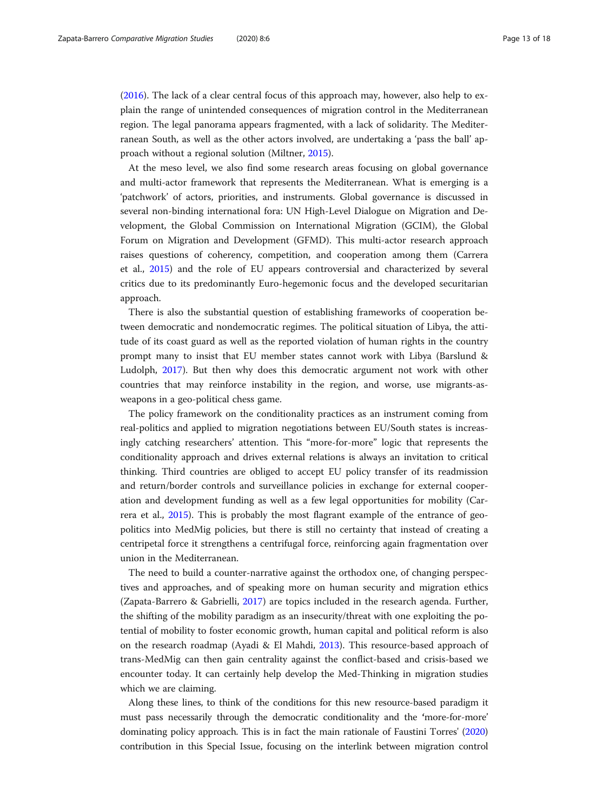([2016](#page-16-0)). The lack of a clear central focus of this approach may, however, also help to explain the range of unintended consequences of migration control in the Mediterranean region. The legal panorama appears fragmented, with a lack of solidarity. The Mediterranean South, as well as the other actors involved, are undertaking a 'pass the ball' approach without a regional solution (Miltner, [2015\)](#page-17-0).

At the meso level, we also find some research areas focusing on global governance and multi-actor framework that represents the Mediterranean. What is emerging is a 'patchwork' of actors, priorities, and instruments. Global governance is discussed in several non-binding international fora: UN High-Level Dialogue on Migration and Development, the Global Commission on International Migration (GCIM), the Global Forum on Migration and Development (GFMD). This multi-actor research approach raises questions of coherency, competition, and cooperation among them (Carrera et al., [2015\)](#page-16-0) and the role of EU appears controversial and characterized by several critics due to its predominantly Euro-hegemonic focus and the developed securitarian approach.

There is also the substantial question of establishing frameworks of cooperation between democratic and nondemocratic regimes. The political situation of Libya, the attitude of its coast guard as well as the reported violation of human rights in the country prompt many to insist that EU member states cannot work with Libya (Barslund & Ludolph, [2017](#page-16-0)). But then why does this democratic argument not work with other countries that may reinforce instability in the region, and worse, use migrants-asweapons in a geo-political chess game.

The policy framework on the conditionality practices as an instrument coming from real-politics and applied to migration negotiations between EU/South states is increasingly catching researchers' attention. This "more-for-more" logic that represents the conditionality approach and drives external relations is always an invitation to critical thinking. Third countries are obliged to accept EU policy transfer of its readmission and return/border controls and surveillance policies in exchange for external cooperation and development funding as well as a few legal opportunities for mobility (Carrera et al., [2015](#page-16-0)). This is probably the most flagrant example of the entrance of geopolitics into MedMig policies, but there is still no certainty that instead of creating a centripetal force it strengthens a centrifugal force, reinforcing again fragmentation over union in the Mediterranean.

The need to build a counter-narrative against the orthodox one, of changing perspectives and approaches, and of speaking more on human security and migration ethics (Zapata-Barrero & Gabrielli, [2017](#page-17-0)) are topics included in the research agenda. Further, the shifting of the mobility paradigm as an insecurity/threat with one exploiting the potential of mobility to foster economic growth, human capital and political reform is also on the research roadmap (Ayadi & El Mahdi, [2013\)](#page-16-0). This resource-based approach of trans-MedMig can then gain centrality against the conflict-based and crisis-based we encounter today. It can certainly help develop the Med-Thinking in migration studies which we are claiming.

Along these lines, to think of the conditions for this new resource-based paradigm it must pass necessarily through the democratic conditionality and the 'more-for-more' dominating policy approach. This is in fact the main rationale of Faustini Torres' [\(2020](#page-16-0)) contribution in this Special Issue, focusing on the interlink between migration control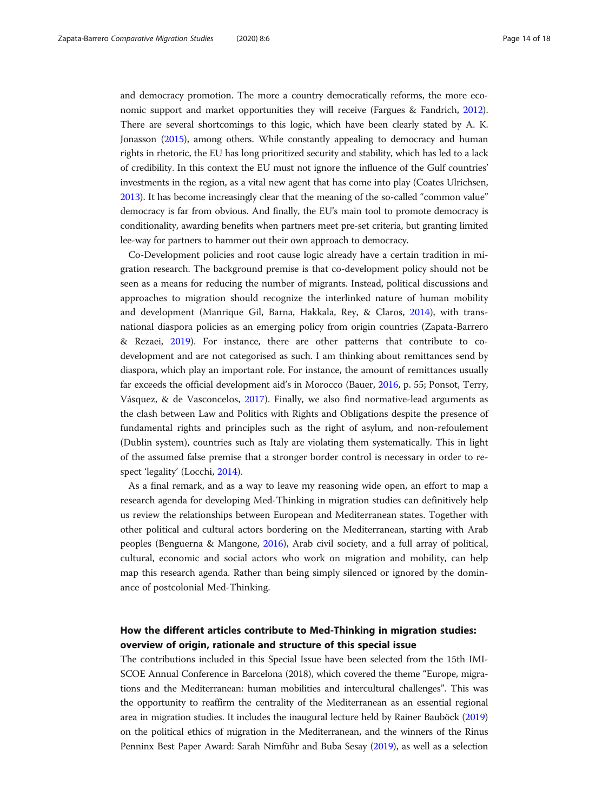and democracy promotion. The more a country democratically reforms, the more economic support and market opportunities they will receive (Fargues & Fandrich, [2012](#page-16-0)). There are several shortcomings to this logic, which have been clearly stated by A. K. Jonasson ([2015\)](#page-17-0), among others. While constantly appealing to democracy and human rights in rhetoric, the EU has long prioritized security and stability, which has led to a lack of credibility. In this context the EU must not ignore the influence of the Gulf countries' investments in the region, as a vital new agent that has come into play (Coates Ulrichsen, [2013\)](#page-16-0). It has become increasingly clear that the meaning of the so-called "common value" democracy is far from obvious. And finally, the EU's main tool to promote democracy is conditionality, awarding benefits when partners meet pre-set criteria, but granting limited lee-way for partners to hammer out their own approach to democracy.

Co-Development policies and root cause logic already have a certain tradition in migration research. The background premise is that co-development policy should not be seen as a means for reducing the number of migrants. Instead, political discussions and approaches to migration should recognize the interlinked nature of human mobility and development (Manrique Gil, Barna, Hakkala, Rey, & Claros, [2014\)](#page-17-0), with transnational diaspora policies as an emerging policy from origin countries (Zapata-Barrero & Rezaei, [2019](#page-17-0)). For instance, there are other patterns that contribute to codevelopment and are not categorised as such. I am thinking about remittances send by diaspora, which play an important role. For instance, the amount of remittances usually far exceeds the official development aid's in Morocco (Bauer, [2016,](#page-16-0) p. 55; Ponsot, Terry, Vásquez, & de Vasconcelos, [2017\)](#page-17-0). Finally, we also find normative-lead arguments as the clash between Law and Politics with Rights and Obligations despite the presence of fundamental rights and principles such as the right of asylum, and non-refoulement (Dublin system), countries such as Italy are violating them systematically. This in light of the assumed false premise that a stronger border control is necessary in order to respect 'legality' (Locchi, [2014](#page-17-0)).

As a final remark, and as a way to leave my reasoning wide open, an effort to map a research agenda for developing Med-Thinking in migration studies can definitively help us review the relationships between European and Mediterranean states. Together with other political and cultural actors bordering on the Mediterranean, starting with Arab peoples (Benguerna & Mangone, [2016](#page-16-0)), Arab civil society, and a full array of political, cultural, economic and social actors who work on migration and mobility, can help map this research agenda. Rather than being simply silenced or ignored by the dominance of postcolonial Med-Thinking.

## How the different articles contribute to Med-Thinking in migration studies: overview of origin, rationale and structure of this special issue

The contributions included in this Special Issue have been selected from the 15th IMI-SCOE Annual Conference in Barcelona (2018), which covered the theme "Europe, migrations and the Mediterranean: human mobilities and intercultural challenges". This was the opportunity to reaffirm the centrality of the Mediterranean as an essential regional area in migration studies. It includes the inaugural lecture held by Rainer Bauböck [\(2019](#page-16-0)) on the political ethics of migration in the Mediterranean, and the winners of the Rinus Penninx Best Paper Award: Sarah Nimführ and Buba Sesay [\(2019\)](#page-17-0), as well as a selection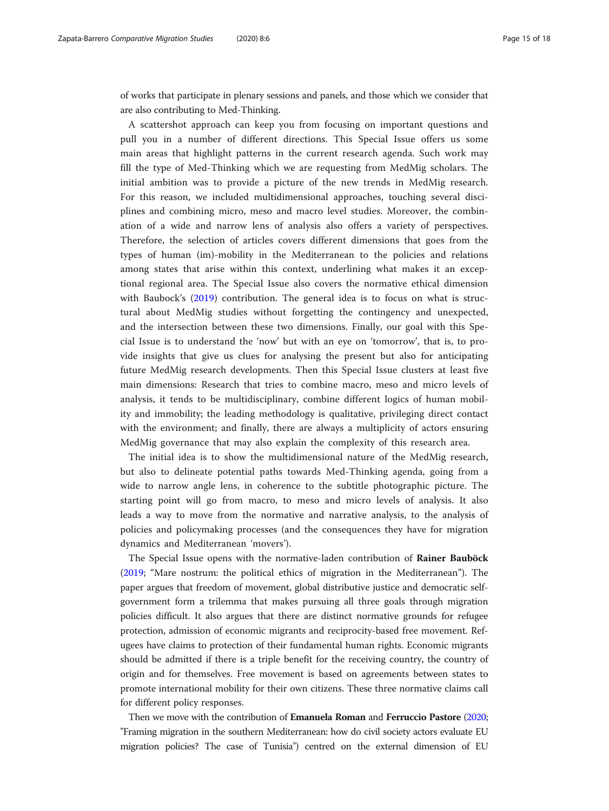of works that participate in plenary sessions and panels, and those which we consider that are also contributing to Med-Thinking.

A scattershot approach can keep you from focusing on important questions and pull you in a number of different directions. This Special Issue offers us some main areas that highlight patterns in the current research agenda. Such work may fill the type of Med-Thinking which we are requesting from MedMig scholars. The initial ambition was to provide a picture of the new trends in MedMig research. For this reason, we included multidimensional approaches, touching several disciplines and combining micro, meso and macro level studies. Moreover, the combination of a wide and narrow lens of analysis also offers a variety of perspectives. Therefore, the selection of articles covers different dimensions that goes from the types of human (im)-mobility in the Mediterranean to the policies and relations among states that arise within this context, underlining what makes it an exceptional regional area. The Special Issue also covers the normative ethical dimension with Baubock's ([2019\)](#page-16-0) contribution. The general idea is to focus on what is structural about MedMig studies without forgetting the contingency and unexpected, and the intersection between these two dimensions. Finally, our goal with this Special Issue is to understand the 'now' but with an eye on 'tomorrow', that is, to provide insights that give us clues for analysing the present but also for anticipating future MedMig research developments. Then this Special Issue clusters at least five main dimensions: Research that tries to combine macro, meso and micro levels of analysis, it tends to be multidisciplinary, combine different logics of human mobility and immobility; the leading methodology is qualitative, privileging direct contact with the environment; and finally, there are always a multiplicity of actors ensuring MedMig governance that may also explain the complexity of this research area.

The initial idea is to show the multidimensional nature of the MedMig research, but also to delineate potential paths towards Med-Thinking agenda, going from a wide to narrow angle lens, in coherence to the subtitle photographic picture. The starting point will go from macro, to meso and micro levels of analysis. It also leads a way to move from the normative and narrative analysis, to the analysis of policies and policymaking processes (and the consequences they have for migration dynamics and Mediterranean 'movers').

The Special Issue opens with the normative-laden contribution of Rainer Bauböck ([2019](#page-16-0); "Mare nostrum: the political ethics of migration in the Mediterranean"). The paper argues that freedom of movement, global distributive justice and democratic selfgovernment form a trilemma that makes pursuing all three goals through migration policies difficult. It also argues that there are distinct normative grounds for refugee protection, admission of economic migrants and reciprocity-based free movement. Refugees have claims to protection of their fundamental human rights. Economic migrants should be admitted if there is a triple benefit for the receiving country, the country of origin and for themselves. Free movement is based on agreements between states to promote international mobility for their own citizens. These three normative claims call for different policy responses.

Then we move with the contribution of Emanuela Roman and Ferruccio Pastore ([2020](#page-17-0); "Framing migration in the southern Mediterranean: how do civil society actors evaluate EU migration policies? The case of Tunisia") centred on the external dimension of EU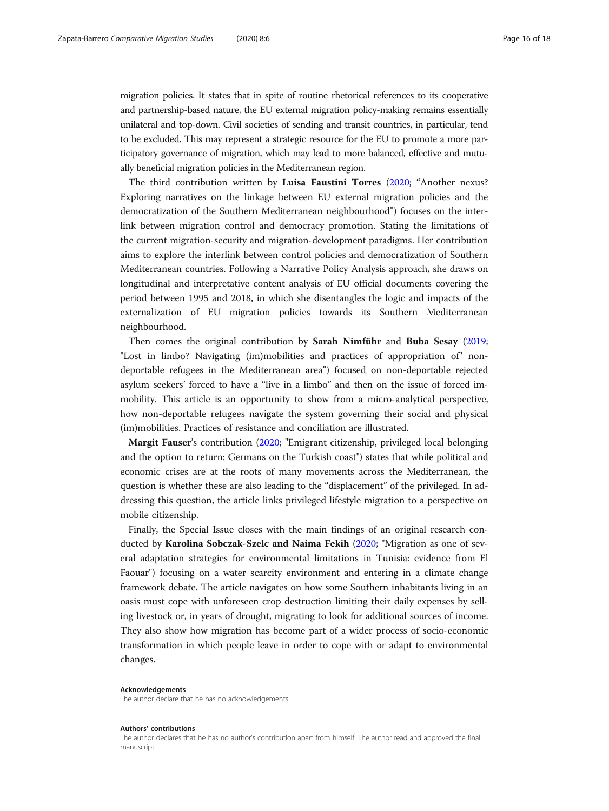migration policies. It states that in spite of routine rhetorical references to its cooperative and partnership-based nature, the EU external migration policy-making remains essentially unilateral and top-down. Civil societies of sending and transit countries, in particular, tend to be excluded. This may represent a strategic resource for the EU to promote a more participatory governance of migration, which may lead to more balanced, effective and mutually beneficial migration policies in the Mediterranean region.

The third contribution written by Luisa Faustini Torres ([2020;](#page-16-0) "Another nexus? Exploring narratives on the linkage between EU external migration policies and the democratization of the Southern Mediterranean neighbourhood") focuses on the interlink between migration control and democracy promotion. Stating the limitations of the current migration-security and migration-development paradigms. Her contribution aims to explore the interlink between control policies and democratization of Southern Mediterranean countries. Following a Narrative Policy Analysis approach, she draws on longitudinal and interpretative content analysis of EU official documents covering the period between 1995 and 2018, in which she disentangles the logic and impacts of the externalization of EU migration policies towards its Southern Mediterranean neighbourhood.

Then comes the original contribution by Sarah Nimführ and Buba Sesay ([2019](#page-17-0); "Lost in limbo? Navigating (im)mobilities and practices of appropriation of" nondeportable refugees in the Mediterranean area") focused on non-deportable rejected asylum seekers' forced to have a "live in a limbo" and then on the issue of forced immobility. This article is an opportunity to show from a micro-analytical perspective, how non-deportable refugees navigate the system governing their social and physical (im)mobilities. Practices of resistance and conciliation are illustrated.

Margit Fauser's contribution ([2020](#page-16-0); "Emigrant citizenship, privileged local belonging and the option to return: Germans on the Turkish coast") states that while political and economic crises are at the roots of many movements across the Mediterranean, the question is whether these are also leading to the "displacement" of the privileged. In addressing this question, the article links privileged lifestyle migration to a perspective on mobile citizenship.

Finally, the Special Issue closes with the main findings of an original research conducted by Karolina Sobczak-Szelc and Naima Fekih [\(2020;](#page-17-0) "Migration as one of several adaptation strategies for environmental limitations in Tunisia: evidence from El Faouar") focusing on a water scarcity environment and entering in a climate change framework debate. The article navigates on how some Southern inhabitants living in an oasis must cope with unforeseen crop destruction limiting their daily expenses by selling livestock or, in years of drought, migrating to look for additional sources of income. They also show how migration has become part of a wider process of socio-economic transformation in which people leave in order to cope with or adapt to environmental changes.

#### Acknowledgements

The author declare that he has no acknowledgements.

#### Authors' contributions

The author declares that he has no author's contribution apart from himself. The author read and approved the final manuscript.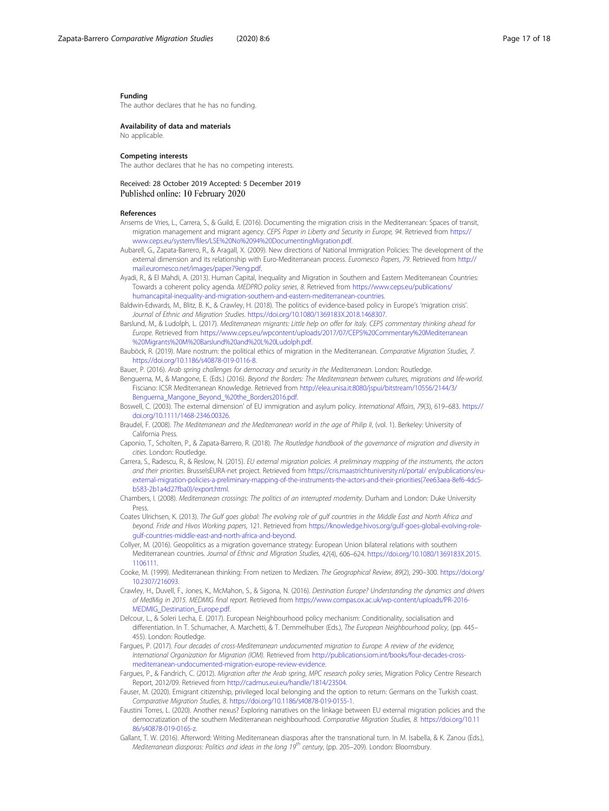#### <span id="page-16-0"></span>Funding

The author declares that he has no funding.

#### Availability of data and materials No applicable.

#### Competing interests

The author declares that he has no competing interests.

### Received: 28 October 2019 Accepted: 5 December 2019 Published online: 10 February 2020

#### References

- Ansems de Vries, L., Carrera, S., & Guild, E. (2016). Documenting the migration crisis in the Mediterranean: Spaces of transit, migration management and migrant agency. CEPS Paper in Liberty and Security in Europe, 94. Retrieved from [https://](https://www.ceps.eu/system/files/LSE%20No%2094%20DocumentingMigration.pdf) [www.ceps.eu/system/files/LSE%20No%2094%20DocumentingMigration.pdf.](https://www.ceps.eu/system/files/LSE%20No%2094%20DocumentingMigration.pdf)
- Aubarell, G., Zapata-Barrero, R., & Aragall, X. (2009). New directions of National Immigration Policies: The development of the external dimension and its relationship with Euro-Mediterranean process. Euromesco Papers, 79. Retrieved from [http://](http://mail.euromesco.net/images/paper79eng.pdf) [mail.euromesco.net/images/paper79eng.pdf](http://mail.euromesco.net/images/paper79eng.pdf).
- Ayadi, R., & El Mahdi, A. (2013). Human Capital, Inequality and Migration in Southern and Eastern Mediterranean Countries: Towards a coherent policy agenda. MEDPRO policy series, 8. Retrieved from [https://www.ceps.eu/publications/](https://www.ceps.eu/publications/humancapital-inequality-and-migration-southern-and-eastern-mediterranean-countries) [humancapital-inequality-and-migration-southern-and-eastern-mediterranean-countries.](https://www.ceps.eu/publications/humancapital-inequality-and-migration-southern-and-eastern-mediterranean-countries)
- Baldwin-Edwards, M., Blitz, B. K., & Crawley, H. (2018). The politics of evidence-based policy in Europe's 'migration crisis'. Journal of Ethnic and Migration Studies. <https://doi.org/10.1080/1369183X.2018.1468307>.
- Barslund, M., & Ludolph, L. (2017). Mediterranean migrants: Little help on offer for Italy. CEPS commentary thinking ahead for Europe. Retrieved from [https://www.ceps.eu/wpcontent/uploads/2017/07/CEPS%20Commentary%20Mediterranean](https://www.ceps.eu/wpcontent/uploads/2017/07/CEPS%20Commentary%20Mediterranean%20%20Migrants%20M%20Barslund%20and%20L%20Ludolph.pdf) [%20Migrants%20M%20Barslund%20and%20L%20Ludolph.pdf.](https://www.ceps.eu/wpcontent/uploads/2017/07/CEPS%20Commentary%20Mediterranean%20%20Migrants%20M%20Barslund%20and%20L%20Ludolph.pdf)

Bauböck, R. (2019). Mare nostrum: the political ethics of migration in the Mediterranean. Comparative Migration Studies, 7. <https://doi.org/10.1186/s40878-019-0116-8>.

- Bauer, P. (2016). Arab spring challenges for democracy and security in the Mediterranean. London: Routledge.
- Benguerna, M., & Mangone, E. (Eds.) (2016). Beyond the Borders: The Mediterranean between cultures, migrations and life-world. Fisciano: ICSR Mediterranean Knowledge. Retrieved from [http://elea.unisa.it:8080/jspui/bitstream/10556/2144/3/](http://elea.unisa.it:8080/jspui/bitstream/10556/2144/3/Benguerna_Mangone_Beyond_%20the_Borders2016.pdf) [Benguerna\\_Mangone\\_Beyond\\_%20the\\_Borders2016.pdf.](http://elea.unisa.it:8080/jspui/bitstream/10556/2144/3/Benguerna_Mangone_Beyond_%20the_Borders2016.pdf)
- Boswell, C. (2003). The external dimension' of EU immigration and asylum policy. International Affairs, 79(3), 619–683. [https://](https://doi.org/10.1111/1468-2346.00326) [doi.org/10.1111/1468-2346.00326.](https://doi.org/10.1111/1468-2346.00326)
- Braudel, F. (2008). The Mediterranean and the Mediterranean world in the age of Philip II, (vol. 1). Berkeley: University of California Press.
- Caponio, T., Scholten, P., & Zapata-Barrero, R. (2018). The Routledge handbook of the governance of migration and diversity in cities. London: Routledge.
- Carrera, S., Radescu, R., & Reslow, N. (2015). EU external migration policies. A preliminary mapping of the instruments, the actors and their priorities. BrusselsEURA-net project. Retrieved from [https://cris.maastrichtuniversity.nl/portal/ en/publications/eu](https://cris.maastrichtuniversity.nl/portal/%20en/publications/eu-external-migration-policies-a-preliminary-mapping-of-the-instruments-the-actors-and-their-priorities(7ee63aea-8ef6-4dc5-b583-2b1a4d27fba0)/export.html)[external-migration-policies-a-preliminary-mapping-of-the-instruments-the-actors-and-their-priorities\(7ee63aea-8ef6-4dc5](https://cris.maastrichtuniversity.nl/portal/%20en/publications/eu-external-migration-policies-a-preliminary-mapping-of-the-instruments-the-actors-and-their-priorities(7ee63aea-8ef6-4dc5-b583-2b1a4d27fba0)/export.html) [b583-2b1a4d27fba0\)/export.html](https://cris.maastrichtuniversity.nl/portal/%20en/publications/eu-external-migration-policies-a-preliminary-mapping-of-the-instruments-the-actors-and-their-priorities(7ee63aea-8ef6-4dc5-b583-2b1a4d27fba0)/export.html).
- Chambers, I. (2008). Mediterranean crossings: The politics of an interrupted modernity. Durham and London: Duke University Press.
- Coates Ulrichsen, K. (2013). The Gulf goes global: The evolving role of gulf countries in the Middle East and North Africa and beyond. Fride and Hivos Working papers, 121. Retrieved from [https://knowledge.hivos.org/gulf-goes-global-evolving-role](https://knowledge.hivos.org/gulf-goes-global-evolving-role-gulf-countries-middle-east-and-north-africa-and-beyond)[gulf-countries-middle-east-and-north-africa-and-beyond](https://knowledge.hivos.org/gulf-goes-global-evolving-role-gulf-countries-middle-east-and-north-africa-and-beyond).
- Collyer, M. (2016). Geopolitics as a migration governance strategy: European Union bilateral relations with southern Mediterranean countries. Journal of Ethnic and Migration Studies, 42(4), 606–624. [https://doi.org/10.1080/1369183X.2015.](https://doi.org/10.1080/1369183X.2015.1106111) [1106111.](https://doi.org/10.1080/1369183X.2015.1106111)
- Cooke, M. (1999). Mediterranean thinking: From netizen to Medizen. The Geographical Review, 89(2), 290–300. [https://doi.org/](https://doi.org/10.2307/216093) [10.2307/216093](https://doi.org/10.2307/216093).
- Crawley, H., Duvell, F., Jones, K., McMahon, S., & Sigona, N. (2016). Destination Europe? Understanding the dynamics and drivers of MedMig in 2015. MEDMIG final report. Retrieved from [https://www.compas.ox.ac.uk/wp-content/uploads/PR-2016-](https://www.compas.ox.ac.uk/wp-content/uploads/PR-2016-MEDMIG_Destination_Europe.pdf) [MEDMIG\\_Destination\\_Europe.pdf.](https://www.compas.ox.ac.uk/wp-content/uploads/PR-2016-MEDMIG_Destination_Europe.pdf)
- Delcour, L., & Soleri Lecha, E. (2017). European Neighbourhood policy mechanism: Conditionality, socialisation and differentiation. In T. Schumacher, A. Marchetti, & T. Demmelhuber (Eds.), The European Neighbourhood policy, (pp. 445– 455). London: Routledge.
- Fargues, P. (2017). Four decades of cross-Mediterranean undocumented migration to Europe: A review of the evidence, International Organization for Migration (IOM). Retrieved from [http://publications.iom.int/books/four-decades-cross](http://publications.iom.int/books/four-decades-cross-mediterranean-undocumented-migration-europe-review-evidence)[mediterranean-undocumented-migration-europe-review-evidence](http://publications.iom.int/books/four-decades-cross-mediterranean-undocumented-migration-europe-review-evidence).
- Fargues, P., & Fandrich, C. (2012). Migration after the Arab spring, MPC research policy series, Migration Policy Centre Research Report, 2012/09. Retrieved from <http://cadmus.eui.eu/handle/1814/23504>.
- Fauser, M. (2020). Emigrant citizenship, privileged local belonging and the option to return: Germans on the Turkish coast. Comparative Migration Studies, 8. <https://doi.org/10.1186/s40878-019-0155-1>.
- Faustini Torres, L. (2020). Another nexus? Exploring narratives on the linkage between EU external migration policies and the democratization of the southern Mediterranean neighbourhood. Comparative Migration Studies, 8. [https://doi.org/10.11](https://doi.org/10.1186/s40878-019-0165-z) [86/s40878-019-0165-z.](https://doi.org/10.1186/s40878-019-0165-z)
- Gallant, T. W. (2016). Afterword: Writing Mediterranean diasporas after the transnational turn. In M. Isabella, & K. Zanou (Eds.), Mediterranean diasporas: Politics and ideas in the long 19<sup>th</sup> century, (pp. 205–209). London: Bloomsbury.